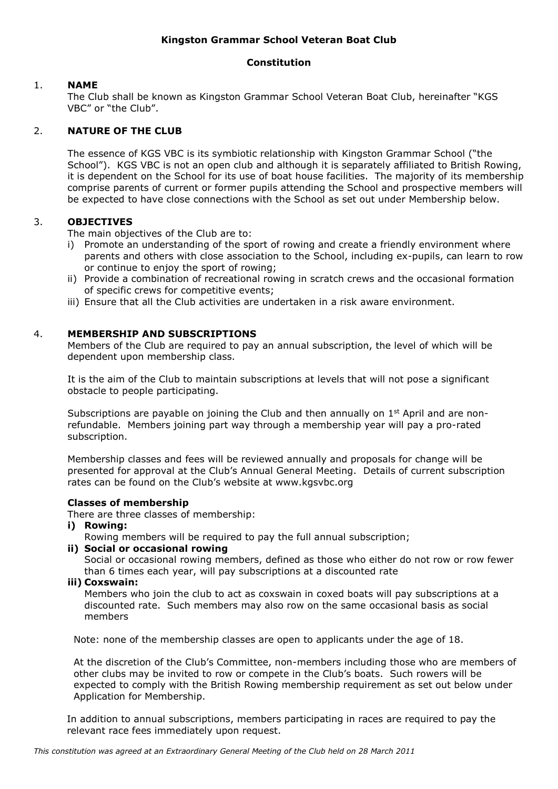# **Kingston Grammar School Veteran Boat Club**

### **Constitution**

### 1. **NAME**

The Club shall be known as Kingston Grammar School Veteran Boat Club, hereinafter "KGS VBC" or "the Club".

# 2. **NATURE OF THE CLUB**

The essence of KGS VBC is its symbiotic relationship with Kingston Grammar School ("the School"). KGS VBC is not an open club and although it is separately affiliated to British Rowing, it is dependent on the School for its use of boat house facilities. The majority of its membership comprise parents of current or former pupils attending the School and prospective members will be expected to have close connections with the School as set out under Membership below.

# 3. **OBJECTIVES**

The main objectives of the Club are to:

- i) Promote an understanding of the sport of rowing and create a friendly environment where parents and others with close association to the School, including ex-pupils, can learn to row or continue to enjoy the sport of rowing;
- ii) Provide a combination of recreational rowing in scratch crews and the occasional formation of specific crews for competitive events;
- iii) Ensure that all the Club activities are undertaken in a risk aware environment.

## 4. **MEMBERSHIP AND SUBSCRIPTIONS**

Members of the Club are required to pay an annual subscription, the level of which will be dependent upon membership class.

It is the aim of the Club to maintain subscriptions at levels that will not pose a significant obstacle to people participating.

Subscriptions are payable on joining the Club and then annually on  $1<sup>st</sup>$  April and are nonrefundable. Members joining part way through a membership year will pay a pro-rated subscription.

Membership classes and fees will be reviewed annually and proposals for change will be presented for approval at the Club's Annual General Meeting. Details of current subscription rates can be found on the Club's website at www.kgsvbc.org

### **Classes of membership**

There are three classes of membership:

**i) Rowing:** 

Rowing members will be required to pay the full annual subscription;

## **ii) Social or occasional rowing**

Social or occasional rowing members, defined as those who either do not row or row fewer than 6 times each year, will pay subscriptions at a discounted rate

**iii) Coxswain:** 

Members who join the club to act as coxswain in coxed boats will pay subscriptions at a discounted rate. Such members may also row on the same occasional basis as social members

Note: none of the membership classes are open to applicants under the age of 18.

At the discretion of the Club's Committee, non-members including those who are members of other clubs may be invited to row or compete in the Club's boats. Such rowers will be expected to comply with the British Rowing membership requirement as set out below under Application for Membership.

In addition to annual subscriptions, members participating in races are required to pay the relevant race fees immediately upon request.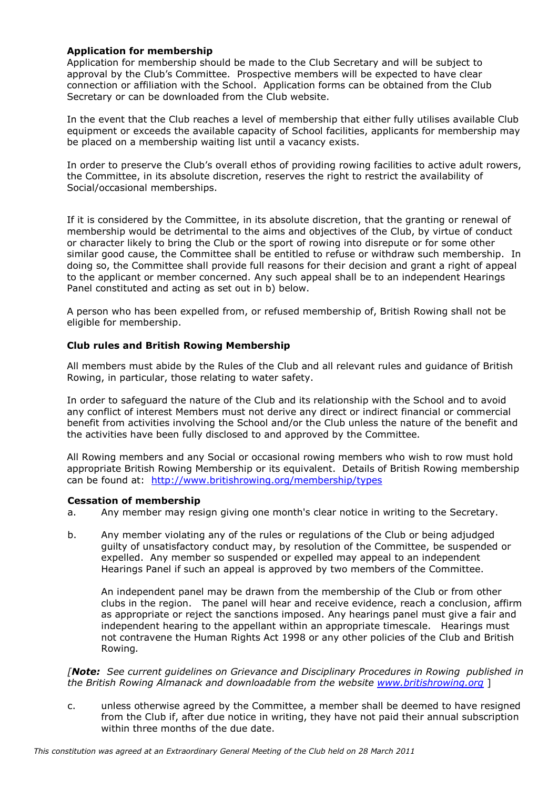## **Application for membership**

Application for membership should be made to the Club Secretary and will be subject to approval by the Club's Committee. Prospective members will be expected to have clear connection or affiliation with the School. Application forms can be obtained from the Club Secretary or can be downloaded from the Club website.

In the event that the Club reaches a level of membership that either fully utilises available Club equipment or exceeds the available capacity of School facilities, applicants for membership may be placed on a membership waiting list until a vacancy exists.

In order to preserve the Club's overall ethos of providing rowing facilities to active adult rowers, the Committee, in its absolute discretion, reserves the right to restrict the availability of Social/occasional memberships.

If it is considered by the Committee, in its absolute discretion, that the granting or renewal of membership would be detrimental to the aims and objectives of the Club, by virtue of conduct or character likely to bring the Club or the sport of rowing into disrepute or for some other similar good cause, the Committee shall be entitled to refuse or withdraw such membership. In doing so, the Committee shall provide full reasons for their decision and grant a right of appeal to the applicant or member concerned. Any such appeal shall be to an independent Hearings Panel constituted and acting as set out in b) below.

A person who has been expelled from, or refused membership of, British Rowing shall not be eligible for membership.

## **Club rules and British Rowing Membership**

All members must abide by the Rules of the Club and all relevant rules and guidance of British Rowing, in particular, those relating to water safety.

In order to safeguard the nature of the Club and its relationship with the School and to avoid any conflict of interest Members must not derive any direct or indirect financial or commercial benefit from activities involving the School and/or the Club unless the nature of the benefit and the activities have been fully disclosed to and approved by the Committee.

All Rowing members and any Social or occasional rowing members who wish to row must hold appropriate British Rowing Membership or its equivalent. Details of British Rowing membership can be found at: <http://www.britishrowing.org/membership/types>

### **Cessation of membership**

- a. Any member may resign giving one month's clear notice in writing to the Secretary.
- b. Any member violating any of the rules or regulations of the Club or being adjudged guilty of unsatisfactory conduct may, by resolution of the Committee, be suspended or expelled. Any member so suspended or expelled may appeal to an independent Hearings Panel if such an appeal is approved by two members of the Committee.

An independent panel may be drawn from the membership of the Club or from other clubs in the region. The panel will hear and receive evidence, reach a conclusion, affirm as appropriate or reject the sanctions imposed. Any hearings panel must give a fair and independent hearing to the appellant within an appropriate timescale. Hearings must not contravene the Human Rights Act 1998 or any other policies of the Club and British Rowing*.* 

*[Note: See current guidelines on Grievance and Disciplinary Procedures in Rowing published in the British Rowing Almanack and downloadable from the website [www.britishrowing.org](http://www.ara-rowing.org/)* ]

c. unless otherwise agreed by the Committee, a member shall be deemed to have resigned from the Club if, after due notice in writing, they have not paid their annual subscription within three months of the due date.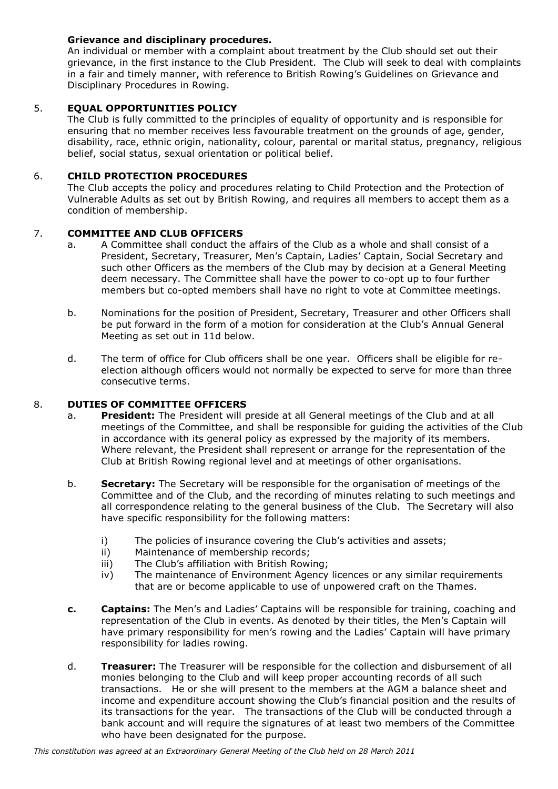# **Grievance and disciplinary procedures.**

An individual or member with a complaint about treatment by the Club should set out their grievance, in the first instance to the Club President. The Club will seek to deal with complaints in a fair and timely manner, with reference to British Rowing's Guidelines on Grievance and Disciplinary Procedures in Rowing.

# 5. **EQUAL OPPORTUNITIES POLICY**

The Club is fully committed to the principles of equality of opportunity and is responsible for ensuring that no member receives less favourable treatment on the grounds of age, gender, disability, race, ethnic origin, nationality, colour, parental or marital status, pregnancy, religious belief, social status, sexual orientation or political belief.

# 6. **CHILD PROTECTION PROCEDURES**

The Club accepts the policy and procedures relating to Child Protection and the Protection of Vulnerable Adults as set out by British Rowing, and requires all members to accept them as a condition of membership.

## 7. **COMMITTEE AND CLUB OFFICERS**

- a. A Committee shall conduct the affairs of the Club as a whole and shall consist of a President, Secretary, Treasurer, Men's Captain, Ladies' Captain, Social Secretary and such other Officers as the members of the Club may by decision at a General Meeting deem necessary. The Committee shall have the power to co-opt up to four further members but co-opted members shall have no right to vote at Committee meetings.
- b. Nominations for the position of President, Secretary, Treasurer and other Officers shall be put forward in the form of a motion for consideration at the Club's Annual General Meeting as set out in 11d below.
- d. The term of office for Club officers shall be one year. Officers shall be eligible for reelection although officers would not normally be expected to serve for more than three consecutive terms.

# 8. **DUTIES OF COMMITTEE OFFICERS**

- a. **President:** The President will preside at all General meetings of the Club and at all meetings of the Committee, and shall be responsible for guiding the activities of the Club in accordance with its general policy as expressed by the majority of its members. Where relevant, the President shall represent or arrange for the representation of the Club at British Rowing regional level and at meetings of other organisations.
- b. **Secretary:** The Secretary will be responsible for the organisation of meetings of the Committee and of the Club, and the recording of minutes relating to such meetings and all correspondence relating to the general business of the Club. The Secretary will also have specific responsibility for the following matters:
	- i) The policies of insurance covering the Club's activities and assets;
	- ii) Maintenance of membership records;
	- iii) The Club's affiliation with British Rowing;
	- iv) The maintenance of Environment Agency licences or any similar requirements that are or become applicable to use of unpowered craft on the Thames.
- **c. Captains:** The Men's and Ladies' Captains will be responsible for training, coaching and representation of the Club in events. As denoted by their titles, the Men's Captain will have primary responsibility for men's rowing and the Ladies' Captain will have primary responsibility for ladies rowing.
- d. **Treasurer:** The Treasurer will be responsible for the collection and disbursement of all monies belonging to the Club and will keep proper accounting records of all such transactions. He or she will present to the members at the AGM a balance sheet and income and expenditure account showing the Club's financial position and the results of its transactions for the year. The transactions of the Club will be conducted through a bank account and will require the signatures of at least two members of the Committee who have been designated for the purpose.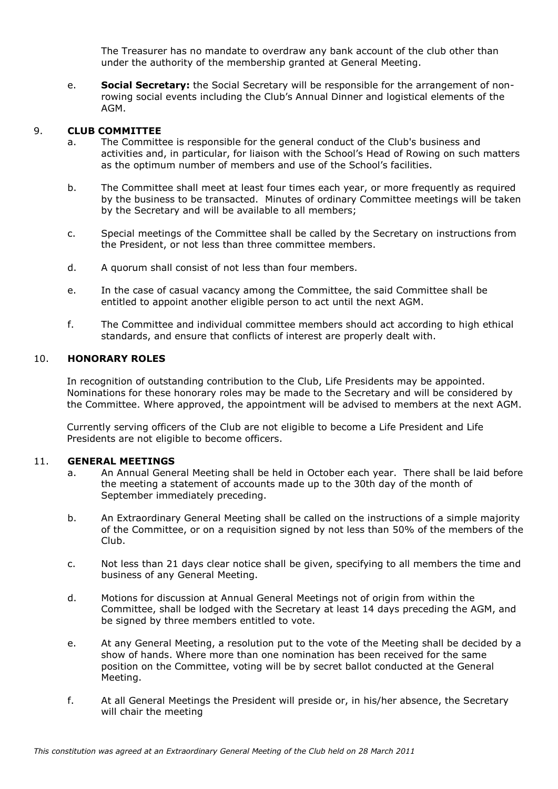The Treasurer has no mandate to overdraw any bank account of the club other than under the authority of the membership granted at General Meeting.

e. **Social Secretary:** the Social Secretary will be responsible for the arrangement of nonrowing social events including the Club's Annual Dinner and logistical elements of the AGM.

# 9. **CLUB COMMITTEE**

- a. The Committee is responsible for the general conduct of the Club's business and activities and, in particular, for liaison with the School's Head of Rowing on such matters as the optimum number of members and use of the School's facilities.
- b. The Committee shall meet at least four times each year, or more frequently as required by the business to be transacted. Minutes of ordinary Committee meetings will be taken by the Secretary and will be available to all members;
- c. Special meetings of the Committee shall be called by the Secretary on instructions from the President, or not less than three committee members.
- d. A quorum shall consist of not less than four members.
- e. In the case of casual vacancy among the Committee, the said Committee shall be entitled to appoint another eligible person to act until the next AGM.
- f. The Committee and individual committee members should act according to high ethical standards, and ensure that conflicts of interest are properly dealt with.

## 10. **HONORARY ROLES**

In recognition of outstanding contribution to the Club, Life Presidents may be appointed. Nominations for these honorary roles may be made to the Secretary and will be considered by the Committee. Where approved, the appointment will be advised to members at the next AGM.

Currently serving officers of the Club are not eligible to become a Life President and Life Presidents are not eligible to become officers.

### 11. **GENERAL MEETINGS**

- a. An Annual General Meeting shall be held in October each year. There shall be laid before the meeting a statement of accounts made up to the 30th day of the month of September immediately preceding.
- b. An Extraordinary General Meeting shall be called on the instructions of a simple majority of the Committee, or on a requisition signed by not less than 50% of the members of the Club.
- c. Not less than 21 days clear notice shall be given, specifying to all members the time and business of any General Meeting.
- d. Motions for discussion at Annual General Meetings not of origin from within the Committee, shall be lodged with the Secretary at least 14 days preceding the AGM, and be signed by three members entitled to vote.
- e. At any General Meeting, a resolution put to the vote of the Meeting shall be decided by a show of hands. Where more than one nomination has been received for the same position on the Committee, voting will be by secret ballot conducted at the General Meeting.
- f. At all General Meetings the President will preside or, in his/her absence, the Secretary will chair the meeting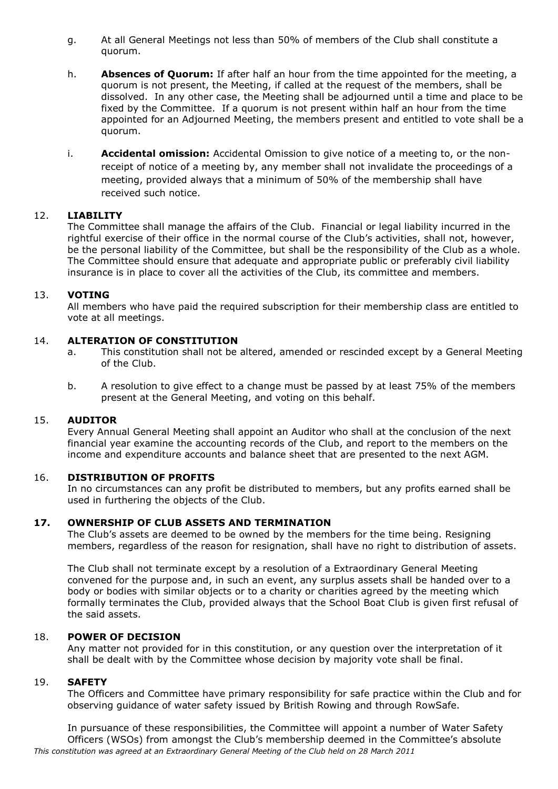- g. At all General Meetings not less than 50% of members of the Club shall constitute a quorum.
- h. **Absences of Quorum:** If after half an hour from the time appointed for the meeting, a quorum is not present, the Meeting, if called at the request of the members, shall be dissolved. In any other case, the Meeting shall be adjourned until a time and place to be fixed by the Committee. If a quorum is not present within half an hour from the time appointed for an Adjourned Meeting, the members present and entitled to vote shall be a quorum.
- i. **Accidental omission:** Accidental Omission to give notice of a meeting to, or the nonreceipt of notice of a meeting by, any member shall not invalidate the proceedings of a meeting, provided always that a minimum of 50% of the membership shall have received such notice.

### 12. **LIABILITY**

The Committee shall manage the affairs of the Club. Financial or legal liability incurred in the rightful exercise of their office in the normal course of the Club's activities, shall not, however, be the personal liability of the Committee, but shall be the responsibility of the Club as a whole. The Committee should ensure that adequate and appropriate public or preferably civil liability insurance is in place to cover all the activities of the Club, its committee and members.

### 13. **VOTING**

All members who have paid the required subscription for their membership class are entitled to vote at all meetings.

### 14. **ALTERATION OF CONSTITUTION**

- a. This constitution shall not be altered, amended or rescinded except by a General Meeting of the Club.
- b. A resolution to give effect to a change must be passed by at least 75% of the members present at the General Meeting, and voting on this behalf.

#### 15. **AUDITOR**

Every Annual General Meeting shall appoint an Auditor who shall at the conclusion of the next financial year examine the accounting records of the Club, and report to the members on the income and expenditure accounts and balance sheet that are presented to the next AGM.

### 16. **DISTRIBUTION OF PROFITS**

In no circumstances can any profit be distributed to members, but any profits earned shall be used in furthering the objects of the Club.

### **17. OWNERSHIP OF CLUB ASSETS AND TERMINATION**

The Club's assets are deemed to be owned by the members for the time being. Resigning members, regardless of the reason for resignation, shall have no right to distribution of assets.

The Club shall not terminate except by a resolution of a Extraordinary General Meeting convened for the purpose and, in such an event, any surplus assets shall be handed over to a body or bodies with similar objects or to a charity or charities agreed by the meeting which formally terminates the Club, provided always that the School Boat Club is given first refusal of the said assets.

#### 18. **POWER OF DECISION**

Any matter not provided for in this constitution, or any question over the interpretation of it shall be dealt with by the Committee whose decision by majority vote shall be final.

#### 19. **SAFETY**

The Officers and Committee have primary responsibility for safe practice within the Club and for observing guidance of water safety issued by British Rowing and through RowSafe.

*This constitution was agreed at an Extraordinary General Meeting of the Club held on 28 March 2011* In pursuance of these responsibilities, the Committee will appoint a number of Water Safety Officers (WSOs) from amongst the Club's membership deemed in the Committee's absolute